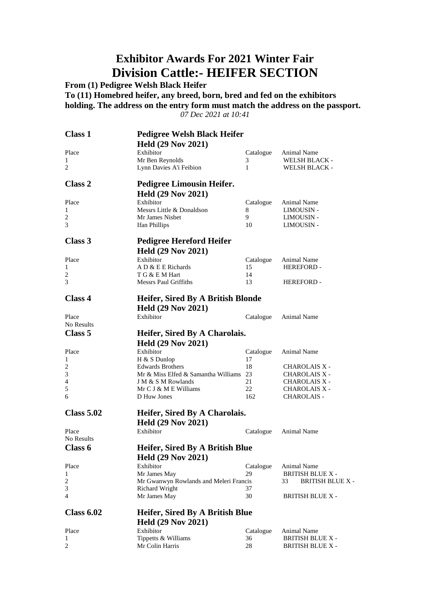### **Exhibitor Awards For 2021 Winter Fair Division Cattle:- HEIFER SECTION**

**From (1) Pedigree Welsh Black Heifer**

**To (11) Homebred heifer, any breed, born, bred and fed on the exhibitors holding. The address on the entry form must match the address on the passport.**

*07 Dec 2021 at 10:41*

| <b>Class 1</b>     | <b>Pedigree Welsh Black Heifer</b>                             |           |                                              |
|--------------------|----------------------------------------------------------------|-----------|----------------------------------------------|
|                    | <b>Held (29 Nov 2021)</b>                                      |           |                                              |
| Place              | Exhibitor                                                      | Catalogue | Animal Name                                  |
| 1                  | Mr Ben Reynolds                                                | 3         | WELSH BLACK -                                |
| 2                  | Lynn Davies A'i Feibion                                        | 1         | WELSH BLACK -                                |
| <b>Class 2</b>     | <b>Pedigree Limousin Heifer.</b>                               |           |                                              |
|                    | <b>Held (29 Nov 2021)</b>                                      |           |                                              |
| Place              | Exhibitor                                                      | Catalogue | Animal Name                                  |
| 1                  | Messrs Little & Donaldson                                      | 8         | LIMOUSIN -                                   |
| 2                  | Mr James Nisbet                                                | 9         | <b>LIMOUSIN -</b>                            |
| 3                  | Ifan Phillips                                                  | 10        | LIMOUSIN -                                   |
| Class 3            | <b>Pedigree Hereford Heifer</b>                                |           |                                              |
|                    | <b>Held (29 Nov 2021)</b>                                      |           |                                              |
| Place              | Exhibitor                                                      | Catalogue | Animal Name                                  |
| 1                  | A D & E E Richards                                             | 15        | <b>HEREFORD-</b>                             |
| 2                  | T G & E M Hart                                                 | 14        |                                              |
| 3                  | <b>Messrs Paul Griffiths</b>                                   | 13        | <b>HEREFORD-</b>                             |
| <b>Class 4</b>     | Heifer, Sired By A British Blonde                              |           |                                              |
|                    | <b>Held (29 Nov 2021)</b>                                      |           |                                              |
| Place              | Exhibitor                                                      | Catalogue | Animal Name                                  |
| No Results         |                                                                |           |                                              |
| Class <sub>5</sub> | Heifer, Sired By A Charolais.                                  |           |                                              |
|                    |                                                                |           |                                              |
|                    | <b>Held (29 Nov 2021)</b>                                      |           |                                              |
| Place              | Exhibitor                                                      | Catalogue | Animal Name                                  |
| 1                  | H & S Dunlop                                                   | 17        |                                              |
| 2                  | <b>Edwards Brothers</b><br>Mr & Miss Elfed & Samantha Williams | 18<br>23  | <b>CHAROLAIS X -</b>                         |
| 3<br>4             | J M & S M Rowlands                                             | 21        | <b>CHAROLAIS X -</b><br><b>CHAROLAIS X -</b> |
| 5                  | Mr $C J & M E$ Williams                                        | 22        | <b>CHAROLAIS X -</b>                         |
| 6                  | D Huw Jones                                                    | 162       | <b>CHAROLAIS -</b>                           |
| <b>Class 5.02</b>  |                                                                |           |                                              |
|                    | Heifer, Sired By A Charolais.                                  |           |                                              |
|                    | <b>Held (29 Nov 2021)</b>                                      |           |                                              |
| Place              | Exhibitor                                                      | Catalogue | Animal Name                                  |
| No Results         |                                                                |           |                                              |
| Class 6            | Heifer, Sired By A British Blue                                |           |                                              |
|                    | <b>Held (29 Nov 2021)</b>                                      |           |                                              |
| Place              | Exhibitor                                                      | Catalogue | Animal Name                                  |
| 1                  | Mr James May                                                   | 29        | <b>BRITISH BLUE X -</b>                      |
| 2                  | Mr Gwanwyn Rowlands and Meleri Francis                         |           | 33<br><b>BRITISH BLUE X -</b>                |
| 3                  | <b>Richard Wright</b>                                          | 37        |                                              |
| 4                  | Mr James May                                                   | 30        | <b>BRITISH BLUE X -</b>                      |
| <b>Class 6.02</b>  | Heifer, Sired By A British Blue                                |           |                                              |
|                    | <b>Held (29 Nov 2021)</b>                                      |           |                                              |
| Place              | Exhibitor                                                      | Catalogue | Animal Name                                  |
| 1                  | Tippetts & Williams                                            | 36        | <b>BRITISH BLUE X -</b>                      |
| 2                  | Mr Colin Harris                                                | 28        | <b>BRITISH BLUE X -</b>                      |
|                    |                                                                |           |                                              |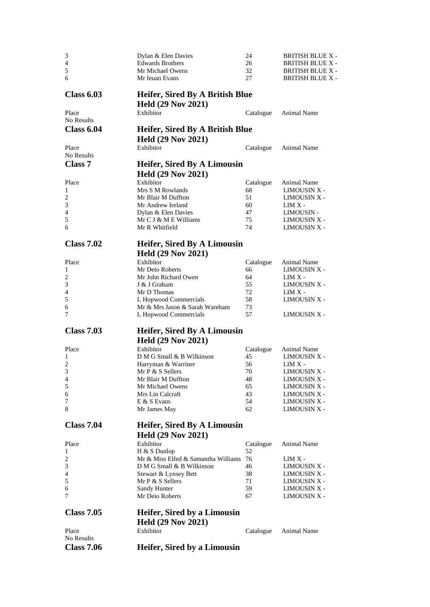| 3                   | Dylan & Elen Davies                                             | 24        | <b>BRITISH BLUE X -</b> |
|---------------------|-----------------------------------------------------------------|-----------|-------------------------|
| $\overline{4}$      | <b>Edwards Brothers</b>                                         | 26        | <b>BRITISH BLUE X -</b> |
| $\sqrt{5}$          | Mr Michael Owens                                                | 32        | <b>BRITISH BLUE X -</b> |
| 6                   | Mr Ieuan Evans                                                  | 27        | <b>BRITISH BLUE X -</b> |
| <b>Class 6.03</b>   | Heifer, Sired By A British Blue                                 |           |                         |
|                     | <b>Held (29 Nov 2021)</b>                                       |           |                         |
| Place<br>No Results | Exhibitor                                                       | Catalogue | Animal Name             |
| <b>Class 6.04</b>   | Heifer, Sired By A British Blue                                 |           |                         |
|                     | <b>Held (29 Nov 2021)</b>                                       |           |                         |
| Place               | Exhibitor                                                       | Catalogue | Animal Name             |
| No Results          |                                                                 |           |                         |
| <b>Class 7</b>      | <b>Heifer, Sired By A Limousin</b><br><b>Held (29 Nov 2021)</b> |           |                         |
| Place               | Exhibitor                                                       | Catalogue | Animal Name             |
| 1                   | Mrs S M Rowlands                                                | 68        | LIMOUSIN X -            |
| 2                   | Mr Blair M Duffton                                              | 51        | LIMOUSIN X -            |
| 3                   | Mr Andrew Ireland                                               | 60        | $LIMX -$                |
| 4                   | Dylan & Elen Davies                                             | 47        | LIMOUSIN -              |
| 5                   | Mr C J & M E Williams                                           | 75        | LIMOUSIN X -            |
| 6                   | Mr R Whitfield                                                  | 74        | LIMOUSIN X -            |
| <b>Class 7.02</b>   | <b>Heifer, Sired By A Limousin</b>                              |           |                         |
|                     | <b>Held (29 Nov 2021)</b>                                       |           |                         |
| Place               | Exhibitor                                                       | Catalogue | Animal Name             |
| 1                   | Mr Deio Roberts                                                 | 66        | LIMOUSIN X -            |
| $\overline{c}$      | Mr John Richard Owen                                            | 64        | $LIMX -$                |
| $\mathfrak{Z}$      | J & J Graham                                                    | 55        | LIMOUSIN X -            |
| 4                   | Mr D Thomas                                                     | 72        | $LIMX -$                |
| 5                   | L Hopwood Commercials                                           | 58        | LIMOUSIN X -            |
| 6                   | Mr & Mrs Jason & Sarah Wareham                                  | 73        |                         |
| 7                   | L Hopwood Commercials                                           | 57        | LIMOUSIN X -            |
| <b>Class 7.03</b>   | <b>Heifer, Sired By A Limousin</b>                              |           |                         |
|                     | <b>Held (29 Nov 2021)</b>                                       |           |                         |
| Place               | Exhibitor                                                       | Catalogue | Animal Name             |
| 1                   | D M G Small & B Wilkinson                                       | 45        | LIMOUSIN X -            |
| $\sqrt{2}$          | Harryman & Warriner                                             | 56        | $LIMX -$                |
| 3                   | Mr P & S Sellers                                                | 70        | <b>LIMOUSIN X -</b>     |
| 4                   | Mr Blair M Duffton                                              | 48        | <b>LIMOUSIN X -</b>     |
| 5                   | Mr Michael Owens                                                | 65        | LIMOUSIN X -            |
| 6                   | Mrs Lin Calcraft                                                | 43        | LIMOUSIN X -            |
| 7                   | E & S Evans                                                     | 54        | <b>LIMOUSIN X -</b>     |
| 8                   | Mr James May                                                    | 62        | LIMOUSIN X -            |
| <b>Class 7.04</b>   | <b>Heifer, Sired By A Limousin</b>                              |           |                         |
|                     | <b>Held (29 Nov 2021)</b>                                       |           |                         |
| Place               | Exhibitor                                                       | Catalogue | Animal Name             |
| 1                   | H & S Dunlop                                                    | 52        |                         |
| 2                   | Mr & Miss Elfed & Samantha Williams                             | 76        | $LIMX -$                |
| 3                   | D M G Small & B Wilkinson                                       | 46        | <b>LIMOUSIN X -</b>     |
| 4                   | Stewart & Lynsey Bett                                           | 38        | LIMOUSIN X -            |
| 5                   | Mr P & S Sellers                                                | 71        | LIMOUSIN X -            |
| 6                   | Sandy Hunter                                                    | 59        | LIMOUSIN X -            |
| 7                   | Mr Deio Roberts                                                 | 67        | <b>LIMOUSIN X -</b>     |
| <b>Class 7.05</b>   | <b>Heifer, Sired by a Limousin</b>                              |           |                         |
|                     |                                                                 |           |                         |
|                     | <b>Held (29 Nov 2021)</b>                                       |           |                         |
| Place<br>No Results | Exhibitor                                                       | Catalogue | Animal Name             |
| <b>Class 7.06</b>   | <b>Heifer, Sired by a Limousin</b>                              |           |                         |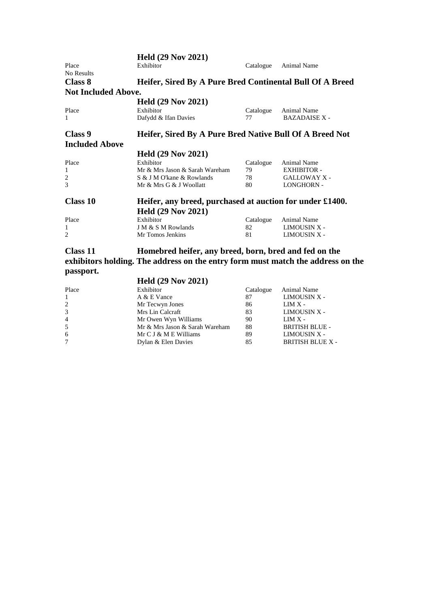| <b>Held (29 Nov 2021)</b>      |                                                                                      |                                                                                                                                                                                 |
|--------------------------------|--------------------------------------------------------------------------------------|---------------------------------------------------------------------------------------------------------------------------------------------------------------------------------|
| Exhibitor                      | Catalogue                                                                            | Animal Name                                                                                                                                                                     |
|                                |                                                                                      |                                                                                                                                                                                 |
|                                |                                                                                      |                                                                                                                                                                                 |
|                                |                                                                                      |                                                                                                                                                                                 |
|                                |                                                                                      |                                                                                                                                                                                 |
| Exhibitor                      | Catalogue                                                                            | Animal Name                                                                                                                                                                     |
| Dafydd & Ifan Davies           | 77                                                                                   | <b>BAZADAISE X -</b>                                                                                                                                                            |
|                                |                                                                                      |                                                                                                                                                                                 |
|                                |                                                                                      |                                                                                                                                                                                 |
| <b>Held (29 Nov 2021)</b>      |                                                                                      |                                                                                                                                                                                 |
| Exhibitor                      | Catalogue                                                                            | Animal Name                                                                                                                                                                     |
| Mr & Mrs Jason & Sarah Wareham | 79                                                                                   | <b>EXHIBITOR -</b>                                                                                                                                                              |
| S & J M O'kane & Rowlands      | 78                                                                                   | <b>GALLOWAY X -</b>                                                                                                                                                             |
| Mr & Mrs G & J Woollatt        | 80                                                                                   | <b>LONGHORN -</b>                                                                                                                                                               |
|                                |                                                                                      |                                                                                                                                                                                 |
|                                |                                                                                      |                                                                                                                                                                                 |
| Exhibitor                      | Catalogue                                                                            | Animal Name                                                                                                                                                                     |
| J M & S M Rowlands             | 82                                                                                   | LIMOUSIN X -                                                                                                                                                                    |
| Mr Tomos Jenkins               | 81                                                                                   | <b>LIMOUSIN X -</b>                                                                                                                                                             |
|                                | <b>Not Included Above.</b><br><b>Held (29 Nov 2021)</b><br><b>Held (29 Nov 2021)</b> | Heifer, Sired By A Pure Bred Continental Bull Of A Breed<br>Heifer, Sired By A Pure Bred Native Bull Of A Breed Not<br>Heifer, any breed, purchased at auction for under £1400. |

#### **Class 11 Homebred heifer, any breed, born, bred and fed on the exhibitors holding. The address on the entry form must match the address on the passport. Held (29 Nov 2021)**

|                | $H$ eig (29 Nov 2021)          |           |                         |
|----------------|--------------------------------|-----------|-------------------------|
| Place          | Exhibitor                      | Catalogue | Animal Name             |
| $\mathbf{1}$   | A & E Vance                    | 87        | LIMOUSIN X -            |
| 2              | Mr Tecwyn Jones                | 86        | $LIMX -$                |
| 3              | Mrs Lin Calcraft               | 83        | LIMOUSIN X -            |
| $\overline{4}$ | Mr Owen Wyn Williams           | 90        | $LIMX -$                |
| 5              | Mr & Mrs Jason & Sarah Wareham | 88        | <b>BRITISH BLUE -</b>   |
| 6              | Mr $C J & M E$ Williams        | 89        | LIMOUSIN X -            |
| $\tau$         | Dylan & Elen Davies            | 85        | <b>BRITISH BLUE X -</b> |
|                |                                |           |                         |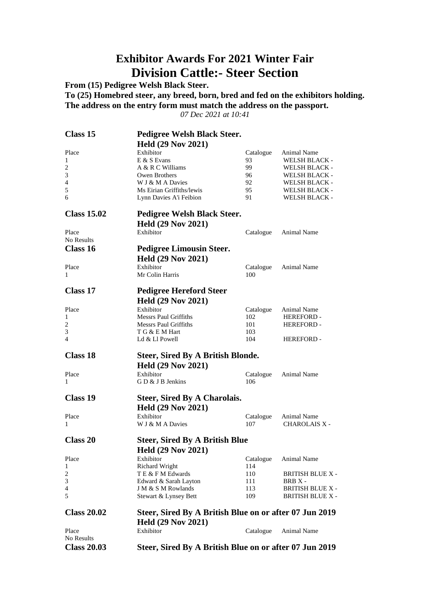### **Exhibitor Awards For 2021 Winter Fair Division Cattle:- Steer Section**

**From (15) Pedigree Welsh Black Steer.**

**To (25) Homebred steer, any breed, born, bred and fed on the exhibitors holding. The address on the entry form must match the address on the passport.**

*07 Dec 2021 at 10:41*

| <b>Class 15</b>     | <b>Pedigree Welsh Black Steer.</b>                     |                  |                         |
|---------------------|--------------------------------------------------------|------------------|-------------------------|
|                     | <b>Held (29 Nov 2021)</b>                              |                  |                         |
| Place               | Exhibitor                                              | Catalogue        | Animal Name             |
| 1                   | E & S Evans                                            | 93               | WELSH BLACK -           |
| $\overline{c}$      | A & R C Williams                                       | 99.              | <b>WELSH BLACK -</b>    |
| 3                   | Owen Brothers                                          | 96               | WELSH BLACK -           |
| $\overline{4}$      | W J & M A Davies                                       | 92               | WELSH BLACK -           |
| 5                   | Ms Eirian Griffiths/lewis                              | 95               | WELSH BLACK -           |
| 6                   | Lynn Davies A'i Feibion                                | 91               | <b>WELSH BLACK -</b>    |
| <b>Class 15.02</b>  | <b>Pedigree Welsh Black Steer.</b>                     |                  |                         |
|                     | <b>Held (29 Nov 2021)</b>                              |                  |                         |
| Place               | Exhibitor                                              | Catalogue        | Animal Name             |
| No Results          |                                                        |                  |                         |
| Class 16            | <b>Pedigree Limousin Steer.</b>                        |                  |                         |
|                     |                                                        |                  |                         |
|                     | <b>Held (29 Nov 2021)</b>                              |                  |                         |
| Place               | Exhibitor<br>Mr Colin Harris                           | Catalogue<br>100 | Animal Name             |
| 1                   |                                                        |                  |                         |
| Class 17            | <b>Pedigree Hereford Steer</b>                         |                  |                         |
|                     | <b>Held (29 Nov 2021)</b>                              |                  |                         |
| Place               | Exhibitor                                              | Catalogue        | Animal Name             |
| 1                   | <b>Messrs Paul Griffiths</b>                           | 102              | <b>HEREFORD -</b>       |
| 2                   | <b>Messrs Paul Griffiths</b>                           | 101              | <b>HEREFORD -</b>       |
| 3                   | T G & E M Hart                                         | 103              |                         |
| 4                   | Ld & Ll Powell                                         | 104              | HEREFORD -              |
| <b>Class 18</b>     | <b>Steer, Sired By A British Blonde.</b>               |                  |                         |
|                     | <b>Held (29 Nov 2021)</b>                              |                  |                         |
| Place               | Exhibitor                                              |                  | Animal Name             |
| 1                   | GD & J B Jenkins                                       | Catalogue<br>106 |                         |
|                     |                                                        |                  |                         |
| <b>Class 19</b>     | <b>Steer, Sired By A Charolais.</b>                    |                  |                         |
|                     | <b>Held (29 Nov 2021)</b>                              |                  |                         |
| Place               | Exhibitor                                              | Catalogue        | Animal Name             |
| 1                   | W J & M A Davies                                       | 107              | <b>CHAROLAIS X -</b>    |
|                     |                                                        |                  |                         |
| <b>Class 20</b>     | <b>Steer, Sired By A British Blue</b>                  |                  |                         |
|                     | <b>Held (29 Nov 2021)</b>                              |                  |                         |
| Place               | Exhibitor                                              | Catalogue        | Animal Name             |
| 1                   | <b>Richard Wright</b>                                  | 114              |                         |
| 2                   | TE & F M Edwards                                       | 110              | <b>BRITISH BLUE X -</b> |
| 3                   | Edward & Sarah Layton                                  | 111              | BRB X -                 |
| 4                   | J M & S M Rowlands                                     | 113              | <b>BRITISH BLUE X -</b> |
| 5                   | Stewart & Lynsey Bett                                  | 109              | <b>BRITISH BLUE X -</b> |
| <b>Class 20.02</b>  | Steer, Sired By A British Blue on or after 07 Jun 2019 |                  |                         |
|                     | <b>Held (29 Nov 2021)</b>                              |                  |                         |
|                     | Exhibitor                                              |                  |                         |
| Place<br>No Results |                                                        | Catalogue        | Animal Name             |
| <b>Class 20.03</b>  | Steer, Sired By A British Blue on or after 07 Jun 2019 |                  |                         |
|                     |                                                        |                  |                         |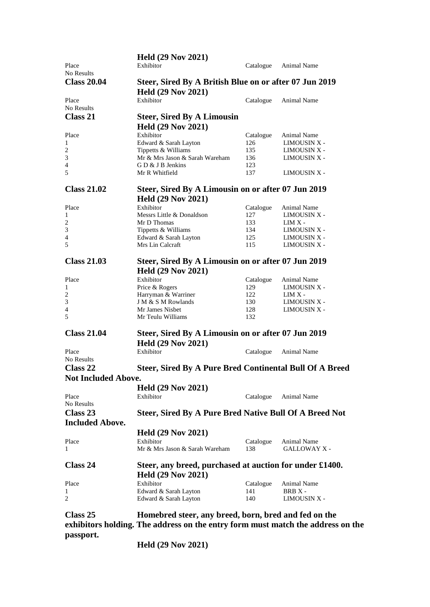|                            | <b>Held (29 Nov 2021)</b>                               |           |                     |  |
|----------------------------|---------------------------------------------------------|-----------|---------------------|--|
| Place                      | Exhibitor                                               | Catalogue | <b>Animal Name</b>  |  |
| No Results                 |                                                         |           |                     |  |
| <b>Class 20.04</b>         | Steer, Sired By A British Blue on or after 07 Jun 2019  |           |                     |  |
|                            | <b>Held (29 Nov 2021)</b>                               |           |                     |  |
| Place                      | Exhibitor                                               | Catalogue | Animal Name         |  |
| No Results                 |                                                         |           |                     |  |
|                            |                                                         |           |                     |  |
| Class 21                   | <b>Steer, Sired By A Limousin</b>                       |           |                     |  |
|                            | <b>Held (29 Nov 2021)</b>                               |           |                     |  |
| Place                      | Exhibitor                                               | Catalogue | Animal Name         |  |
| 1                          | Edward & Sarah Layton                                   | 126       | LIMOUSIN X -        |  |
| $\overline{\mathbf{c}}$    | Tippetts & Williams                                     | 135       | LIMOUSIN X -        |  |
| 3                          | Mr & Mrs Jason & Sarah Wareham                          | 136       | LIMOUSIN X -        |  |
| 4                          | G D & J B Jenkins                                       | 123       |                     |  |
| 5                          | Mr R Whitfield                                          | 137       | LIMOUSIN X -        |  |
|                            |                                                         |           |                     |  |
| <b>Class 21.02</b>         | Steer, Sired By A Limousin on or after 07 Jun 2019      |           |                     |  |
|                            | <b>Held (29 Nov 2021)</b>                               |           |                     |  |
| Place                      | Exhibitor                                               | Catalogue | Animal Name         |  |
| 1                          | Messrs Little & Donaldson                               | 127       | LIMOUSIN X -        |  |
| $\overline{c}$             | Mr D Thomas                                             | 133       | $LIMX -$            |  |
| 3                          | Tippetts & Williams                                     | 134       | LIMOUSIN X -        |  |
| 4                          | Edward & Sarah Layton                                   | 125       | LIMOUSIN X -        |  |
| 5                          | Mrs Lin Calcraft                                        | 115       | <b>LIMOUSIN X -</b> |  |
| <b>Class 21.03</b>         | Steer, Sired By A Limousin on or after 07 Jun 2019      |           |                     |  |
|                            |                                                         |           |                     |  |
|                            | <b>Held (29 Nov 2021)</b>                               |           |                     |  |
| Place                      | Exhibitor                                               | Catalogue | Animal Name         |  |
| 1                          | Price & Rogers                                          | 129       | LIMOUSIN X -        |  |
| $\overline{\mathbf{c}}$    | Harryman & Warriner                                     | 122       | $\text{LIM}$ X -    |  |
| 3                          | J M & S M Rowlands                                      | 130       | LIMOUSIN X -        |  |
| 4                          | Mr James Nisbet                                         | 128       | <b>LIMOUSIN X -</b> |  |
| 5                          | Mr Teulu Williams                                       | 132       |                     |  |
| <b>Class 21.04</b>         | Steer, Sired By A Limousin on or after 07 Jun 2019      |           |                     |  |
|                            |                                                         |           |                     |  |
|                            | <b>Held (29 Nov 2021)</b>                               |           |                     |  |
| Place                      | Exhibitor                                               | Catalogue | Animal Name         |  |
| No Results                 |                                                         |           |                     |  |
| Class 22                   | Steer, Sired By A Pure Bred Continental Bull Of A Breed |           |                     |  |
| <b>Not Included Above.</b> |                                                         |           |                     |  |
|                            | <b>Held (29 Nov 2021)</b>                               |           |                     |  |
| Place                      | Exhibitor                                               | Catalogue | Animal Name         |  |
| No Results                 |                                                         |           |                     |  |
| Class 23                   | Steer, Sired By A Pure Bred Native Bull Of A Breed Not  |           |                     |  |
| <b>Included Above.</b>     |                                                         |           |                     |  |
|                            |                                                         |           |                     |  |
|                            | <b>Held (29 Nov 2021)</b>                               |           |                     |  |
| Place                      | Exhibitor                                               | Catalogue | Animal Name         |  |
| 1                          | Mr & Mrs Jason & Sarah Wareham                          | 138       | <b>GALLOWAY X -</b> |  |
| Class 24                   | Steer, any breed, purchased at auction for under £1400. |           |                     |  |
|                            | <b>Held (29 Nov 2021)</b>                               |           |                     |  |
|                            |                                                         |           |                     |  |
| Place                      | Exhibitor                                               | Catalogue | Animal Name         |  |
| 1                          | Edward & Sarah Layton                                   | 141       | BRB X -             |  |
| 2                          | Edward & Sarah Layton                                   | 140       | <b>LIMOUSIN X -</b> |  |
| Class 25                   | Homebred steer, any breed, born, bred and fed on the    |           |                     |  |
|                            |                                                         |           |                     |  |

**exhibitors holding. The address on the entry form must match the address on the passport.**

**Held (29 Nov 2021)**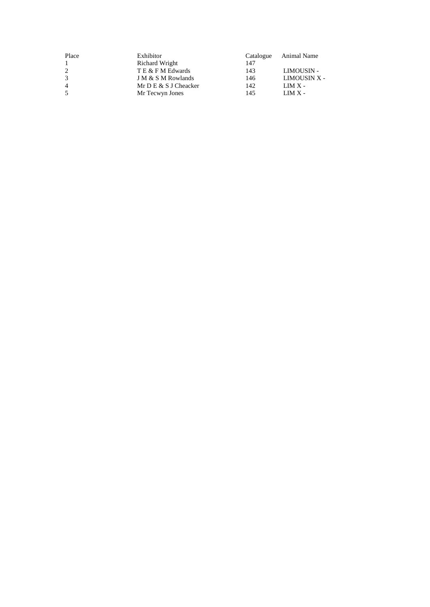| Place          | Exhibitor             | Catalogue | Animal Name  |
|----------------|-----------------------|-----------|--------------|
|                | Richard Wright        | 147       |              |
| 2              | T E & F M Edwards     | 143       | LIMOUSIN -   |
| 3              | J M & S M Rowlands    | 146       | LIMOUSIN X - |
| $\overline{4}$ | Mr D E & S J Cheacker | 142       | $LMX -$      |
|                | Mr Tecwyn Jones       | 145       | $LMX -$      |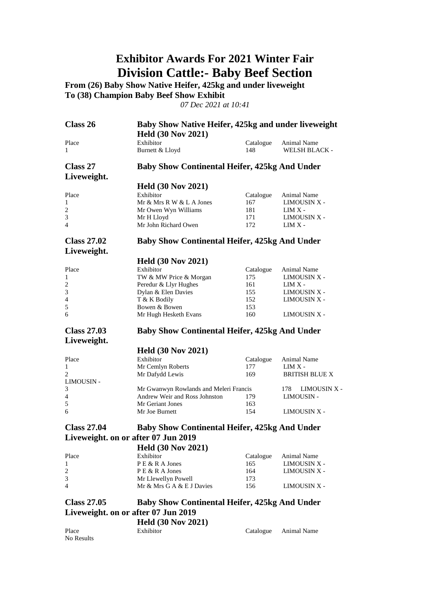### **Exhibitor Awards For 2021 Winter Fair Division Cattle:- Baby Beef Section**

**From (26) Baby Show Native Heifer, 425kg and under liveweight To (38) Champion Baby Beef Show Exhibit**

*07 Dec 2021 at 10:41*

| Class 26                            | Baby Show Native Heifer, 425kg and under liveweight<br><b>Held (30 Nov 2021)</b> |                  |                                     |
|-------------------------------------|----------------------------------------------------------------------------------|------------------|-------------------------------------|
| Place<br>1                          | Exhibitor<br>Burnett & Lloyd                                                     | Catalogue<br>148 | Animal Name<br><b>WELSH BLACK -</b> |
| Class 27<br>Liveweight.             | <b>Baby Show Continental Heifer, 425kg And Under</b>                             |                  |                                     |
|                                     |                                                                                  |                  |                                     |
|                                     | <b>Held (30 Nov 2021)</b>                                                        |                  |                                     |
| Place                               | Exhibitor                                                                        | Catalogue        | Animal Name                         |
| 1                                   | Mr & Mrs R W & L A Jones                                                         | 167              | <b>LIMOUSIN X -</b>                 |
| $\overline{c}$                      | Mr Owen Wyn Williams                                                             | 181              | $LIMX -$                            |
| 3<br>4                              | Mr H Lloyd<br>Mr John Richard Owen                                               | 171<br>172       | LIMOUSIN X -<br>$LIMX -$            |
|                                     |                                                                                  |                  |                                     |
| <b>Class 27.02</b><br>Liveweight.   | <b>Baby Show Continental Heifer, 425kg And Under</b>                             |                  |                                     |
|                                     | <b>Held (30 Nov 2021)</b>                                                        |                  |                                     |
| Place                               | Exhibitor                                                                        | Catalogue        | Animal Name                         |
| 1                                   | TW & MW Price & Morgan                                                           | 175              | LIMOUSIN X -                        |
| $\sqrt{2}$                          | Peredur & Llyr Hughes                                                            | 161              | $LIMX -$                            |
| 3                                   | Dylan & Elen Davies                                                              | 155              | <b>LIMOUSIN X -</b>                 |
| 4                                   | T & K Bodily                                                                     | 152              | <b>LIMOUSIN X -</b>                 |
| 5                                   | Bowen & Bowen                                                                    | 153              |                                     |
| 6                                   | Mr Hugh Hesketh Evans                                                            | 160              | <b>LIMOUSIN X -</b>                 |
| <b>Class 27.03</b>                  | <b>Baby Show Continental Heifer, 425kg And Under</b>                             |                  |                                     |
| Liveweight.                         |                                                                                  |                  |                                     |
|                                     |                                                                                  |                  |                                     |
|                                     | <b>Held (30 Nov 2021)</b>                                                        |                  |                                     |
| Place                               | Exhibitor                                                                        | Catalogue        | Animal Name                         |
| 1                                   | Mr Cemlyn Roberts                                                                | 177              | $LIMX -$                            |
| 2                                   | Mr Dafydd Lewis                                                                  | 169              | <b>BRITISH BLUE X</b>               |
| <b>LIMOUSIN -</b>                   |                                                                                  |                  |                                     |
| 3                                   | Mr Gwanwyn Rowlands and Meleri Francis                                           |                  | LIMOUSIN X -<br>178                 |
| 4                                   | Andrew Weir and Ross Johnston                                                    | 179              | LIMOUSIN -                          |
| 5                                   | Mr Geriant Jones                                                                 | 163              |                                     |
| 6                                   | Mr Joe Burnett                                                                   | 154              | <b>LIMOUSIN X -</b>                 |
| <b>Class 27.04</b>                  | <b>Baby Show Continental Heifer, 425kg And Under</b>                             |                  |                                     |
| Liveweight. on or after 07 Jun 2019 |                                                                                  |                  |                                     |
|                                     |                                                                                  |                  |                                     |
| Place                               | <b>Held (30 Nov 2021)</b><br>Exhibitor                                           |                  |                                     |
| 1                                   | PE & R A Jones                                                                   | Catalogue<br>165 | Animal Name                         |
|                                     | P E & R A Jones                                                                  | 164              | LIMOUSIN X -                        |
| $\overline{c}$<br>3                 |                                                                                  | 173              | LIMOUSIN X -                        |
| 4                                   | Mr Llewellyn Powell<br>Mr & Mrs G A & E J Davies                                 | 156              | <b>LIMOUSIN X -</b>                 |
|                                     |                                                                                  |                  |                                     |
| <b>Class 27.05</b>                  | <b>Baby Show Continental Heifer, 425kg And Under</b>                             |                  |                                     |
| Liveweight. on or after 07 Jun 2019 |                                                                                  |                  |                                     |
| Place                               | <b>Held (30 Nov 2021)</b><br>Exhibitor                                           | Catalogue        | Animal Name                         |

No Results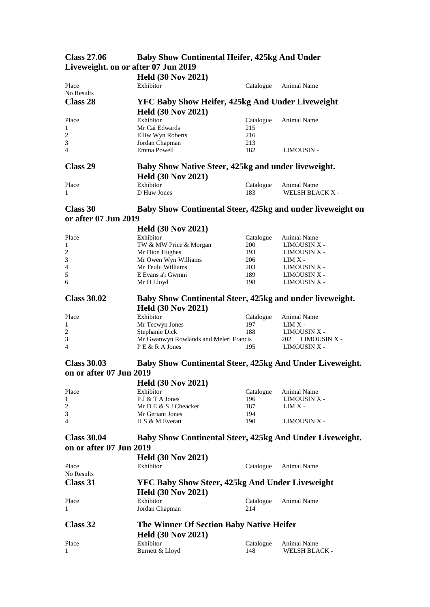| URISS 47.00          | Davy Show Continental Heller, 425kg And Under              |           |                        |  |
|----------------------|------------------------------------------------------------|-----------|------------------------|--|
|                      | Liveweight. on or after 07 Jun 2019                        |           |                        |  |
|                      | <b>Held (30 Nov 2021)</b>                                  |           |                        |  |
| Place                | Exhibitor                                                  | Catalogue | <b>Animal Name</b>     |  |
| No Results           |                                                            |           |                        |  |
| <b>Class 28</b>      | YFC Baby Show Heifer, 425kg And Under Liveweight           |           |                        |  |
|                      | <b>Held (30 Nov 2021)</b>                                  |           |                        |  |
| Place                | Exhibitor                                                  | Catalogue | Animal Name            |  |
| 1                    | Mr Cai Edwards                                             | 215       |                        |  |
| $\overline{c}$       | Elliw Wyn Roberts                                          | 216       |                        |  |
| 3                    | Jordan Chapman                                             | 213       |                        |  |
| 4                    | Emma Powell                                                | 182       | <b>LIMOUSIN -</b>      |  |
| Class 29             | Baby Show Native Steer, 425kg and under liveweight.        |           |                        |  |
|                      | <b>Held (30 Nov 2021)</b>                                  |           |                        |  |
| Place                | Exhibitor                                                  | Catalogue | <b>Animal Name</b>     |  |
| 1                    | D Huw Jones                                                | 183       | <b>WELSH BLACK X -</b> |  |
| Class 30             | Baby Show Continental Steer, 425kg and under liveweight on |           |                        |  |
| or after 07 Jun 2019 |                                                            |           |                        |  |
|                      | <b>Held (30 Nov 2021)</b>                                  |           |                        |  |
| Place                | Exhibitor                                                  | Catalogue | <b>Animal Name</b>     |  |
| 1                    | TW & MW Price & Morgan                                     | 200       | LIMOUSIN X -           |  |
| $\sqrt{2}$           | Mr Dion Hughes                                             | 193       | LIMOUSIN X -           |  |
| 3                    | Mr Owen Wyn Williams                                       | 206       | $LIMX -$               |  |

# **Class 27.06 Baby Show Continental Heifer, 425kg And Under**

| <b>Class 30.03</b>      | Baby Show Continental Steer, 425kg And Under Liveweight. |
|-------------------------|----------------------------------------------------------|
| on or after 07 Jun 2019 |                                                          |
|                         | <b>Lead (20 November 1021)</b>                           |

**Class 30.02 Baby Show Continental Steer, 425kg and under liveweight.**

LIMOUSIN X -

|                | HClQ (30 N0V 2021)      |           |              |
|----------------|-------------------------|-----------|--------------|
| Place          | Exhibitor               | Catalogue | Animal Name  |
| -1             | P J & T A Jones         | 196       | LIMOUSIN X - |
| 2              | Mr D E $&$ S J Cheacker | 187       | $LMX -$      |
| 3              | Mr Geriant Jones        | 194       |              |
| $\overline{4}$ | H S & M Everatt         | 190       | LIMOUSIN X - |
|                |                         |           |              |

4 Mr Teulu Williams 203 LIMOUSIN X -<br>
E Evans a'i Gwmni 189 LIMOUSIN X -5 E Evans a'i Gwmni 189 LIMOUSIN X - 6 Mr H Lloyd 198 LIMOUSIN X -

Place Exhibitor Catalogue Animal Name<br>
1 Mr Tecwyn Jones 197 LIM X -

2 Stephanie Dick 188 LIMOUSIN X -3 Mr Gwanwyn Rowlands and Meleri Francis 202 LIMOUSIN X - P E & R A Jones 195 LIMOUSIN X - $P E & R A Jones$  195

**Held (30 Nov 2021)**

1 Mr Tecwyn Jones

#### **Class 30.04 Baby Show Continental Steer, 425kg And Under Liveweight. on or after 07 Jun 2019**

|              | <b>Held (30 Nov 2021)</b>                              |           |                      |
|--------------|--------------------------------------------------------|-----------|----------------------|
| Place        | Exhibitor                                              | Catalogue | <b>Animal Name</b>   |
| No Results   |                                                        |           |                      |
| Class 31     | <b>YFC Baby Show Steer, 425kg And Under Liveweight</b> |           |                      |
|              | <b>Held (30 Nov 2021)</b>                              |           |                      |
| Place        | Exhibitor                                              | Catalogue | <b>Animal Name</b>   |
| $\mathbf{1}$ | Jordan Chapman                                         | 214       |                      |
| Class 32     | The Winner Of Section Baby Native Heifer               |           |                      |
|              | <b>Held (30 Nov 2021)</b>                              |           |                      |
| Place        | Exhibitor                                              | Catalogue | <b>Animal Name</b>   |
| $\mathbf{1}$ | Burnett & Lloyd                                        | 148       | <b>WELSH BLACK -</b> |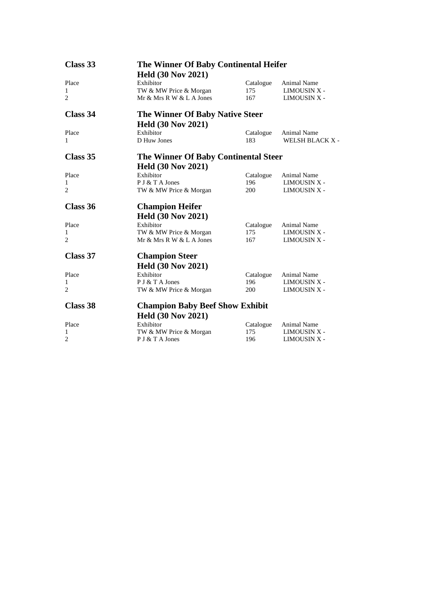| Class 33              | The Winner Of Baby Continental Heifer              |                  |                                     |  |
|-----------------------|----------------------------------------------------|------------------|-------------------------------------|--|
|                       | <b>Held (30 Nov 2021)</b>                          |                  |                                     |  |
| Place                 | Exhibitor                                          | Catalogue        | <b>Animal Name</b>                  |  |
| 1                     | TW & MW Price & Morgan                             | 175              | LIMOUSIN X -                        |  |
| 2                     | Mr & Mrs R W & L A Jones                           | 167              | LIMOUSIN X -                        |  |
| Class 34              | <b>The Winner Of Baby Native Steer</b>             |                  |                                     |  |
|                       | <b>Held (30 Nov 2021)</b>                          |                  |                                     |  |
| Place                 | Exhibitor                                          | Catalogue        | Animal Name                         |  |
| 1                     | D Huw Jones                                        | 183              | WELSH BLACK X -                     |  |
| Class 35              | The Winner Of Baby Continental Steer               |                  |                                     |  |
|                       | <b>Held (30 Nov 2021)</b>                          |                  |                                     |  |
| Place                 | Exhibitor                                          | Catalogue        | <b>Animal Name</b>                  |  |
| 1                     | P J & T A Jones                                    | 196              | <b>LIMOUSIN X -</b>                 |  |
| 2                     | TW & MW Price & Morgan                             | 200              | LIMOUSIN X -                        |  |
| Class 36              | <b>Champion Heifer</b>                             |                  |                                     |  |
|                       |                                                    |                  |                                     |  |
|                       |                                                    |                  |                                     |  |
|                       | <b>Held (30 Nov 2021)</b>                          |                  |                                     |  |
| Place<br>$\mathbf{1}$ | Exhibitor                                          | Catalogue<br>175 | Animal Name<br>LIMOUSIN X -         |  |
| 2                     | TW & MW Price & Morgan<br>Mr & Mrs R W & L A Jones | 167              | <b>LIMOUSIN X -</b>                 |  |
| Class 37              |                                                    |                  |                                     |  |
|                       | <b>Champion Steer</b>                              |                  |                                     |  |
|                       | <b>Held (30 Nov 2021)</b>                          |                  |                                     |  |
| Place                 | Exhibitor                                          | Catalogue        | Animal Name                         |  |
| 1<br>2                | P J & T A Jones<br>TW & MW Price & Morgan          | 196<br>200       | LIMOUSIN X -<br><b>LIMOUSIN X -</b> |  |
| Class 38              |                                                    |                  |                                     |  |
|                       | <b>Champion Baby Beef Show Exhibit</b>             |                  |                                     |  |
|                       | <b>Held (30 Nov 2021)</b>                          |                  |                                     |  |
| Place<br>1            | Exhibitor<br>TW & MW Price & Morgan                | Catalogue<br>175 | <b>Animal Name</b><br>LIMOUSIN X -  |  |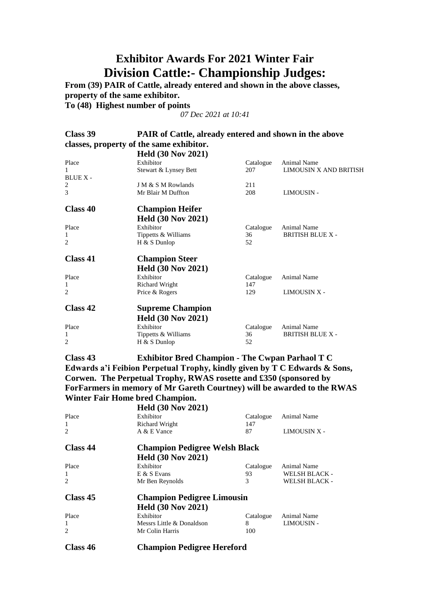## **Exhibitor Awards For 2021 Winter Fair Division Cattle:- Championship Judges:**

**From (39) PAIR of Cattle, already entered and shown in the above classes, property of the same exhibitor.**

**To (48) Highest number of points**

*07 Dec 2021 at 10:41*

| Class 39                                 | PAIR of Cattle, already entered and shown in the above |           |                         |  |  |  |
|------------------------------------------|--------------------------------------------------------|-----------|-------------------------|--|--|--|
| classes, property of the same exhibitor. |                                                        |           |                         |  |  |  |
|                                          | <b>Held (30 Nov 2021)</b>                              |           |                         |  |  |  |
| Place                                    | Exhibitor                                              | Catalogue | <b>Animal Name</b>      |  |  |  |
| 1                                        | Stewart & Lynsey Bett                                  | 207       | LIMOUSIN X AND BRITISH  |  |  |  |
| BLUE X-                                  |                                                        |           |                         |  |  |  |
| 2                                        | J M & S M Rowlands                                     | 211       |                         |  |  |  |
| 3                                        | Mr Blair M Duffton                                     | 208       | <b>LIMOUSIN -</b>       |  |  |  |
| Class 40                                 | <b>Champion Heifer</b>                                 |           |                         |  |  |  |
|                                          | <b>Held (30 Nov 2021)</b>                              |           |                         |  |  |  |
| Place                                    | Exhibitor                                              | Catalogue | <b>Animal Name</b>      |  |  |  |
| 1                                        | Tippetts & Williams                                    | 36        | <b>BRITISH BLUE X -</b> |  |  |  |
| $\overline{c}$                           | $H & S$ Dunlop                                         | 52        |                         |  |  |  |
| Class 41                                 | <b>Champion Steer</b>                                  |           |                         |  |  |  |
|                                          | <b>Held (30 Nov 2021)</b>                              |           |                         |  |  |  |
| Place                                    | Exhibitor                                              | Catalogue | <b>Animal Name</b>      |  |  |  |
| 1                                        | <b>Richard Wright</b>                                  | 147       |                         |  |  |  |
| $\overline{c}$                           | Price & Rogers                                         | 129       | LIMOUSIN X -            |  |  |  |
| Class 42                                 | <b>Supreme Champion</b>                                |           |                         |  |  |  |
|                                          | <b>Held (30 Nov 2021)</b>                              |           |                         |  |  |  |
| Place                                    | Exhibitor                                              | Catalogue | <b>Animal Name</b>      |  |  |  |
| 1                                        | Tippetts & Williams                                    | 36        | <b>BRITISH BLUE X -</b> |  |  |  |
| $\overline{c}$                           | $H & S$ Dunlop                                         | 52        |                         |  |  |  |
|                                          |                                                        |           |                         |  |  |  |

**Class 43 Exhibitor Bred Champion - The Cwpan Parhaol T C Edwards a'i Feibion Perpetual Trophy, kindly given by T C Edwards & Sons, Corwen. The Perpetual Trophy, RWAS rosette and £350 (sponsored by ForFarmers in memory of Mr Gareth Courtney) will be awarded to the RWAS Winter Fair Home bred Champion.**

|                | <b>Held (30 Nov 2021)</b>            |           |                      |  |
|----------------|--------------------------------------|-----------|----------------------|--|
| Place          | Exhibitor                            | Catalogue | Animal Name          |  |
| 1              | <b>Richard Wright</b>                | 147       |                      |  |
| $\overline{c}$ | A & E Vance                          | 87        | <b>LIMOUSIN X -</b>  |  |
| Class 44       | <b>Champion Pedigree Welsh Black</b> |           |                      |  |
|                | <b>Held (30 Nov 2021)</b>            |           |                      |  |
| Place          | Exhibitor                            | Catalogue | Animal Name          |  |
| 1              | $E & S$ Evans                        | 93        | <b>WELSH BLACK -</b> |  |
| $\overline{c}$ | Mr Ben Reynolds                      | 3         | <b>WELSH BLACK -</b> |  |
| Class 45       | <b>Champion Pedigree Limousin</b>    |           |                      |  |
|                | <b>Held (30 Nov 2021)</b>            |           |                      |  |
| Place          | Exhibitor                            | Catalogue | <b>Animal Name</b>   |  |
| -1             | Messrs Little & Donaldson            | 8         | <b>LIMOUSIN -</b>    |  |
| $\overline{c}$ | Mr Colin Harris                      | 100       |                      |  |
| Class 46       | <b>Champion Pedigree Hereford</b>    |           |                      |  |